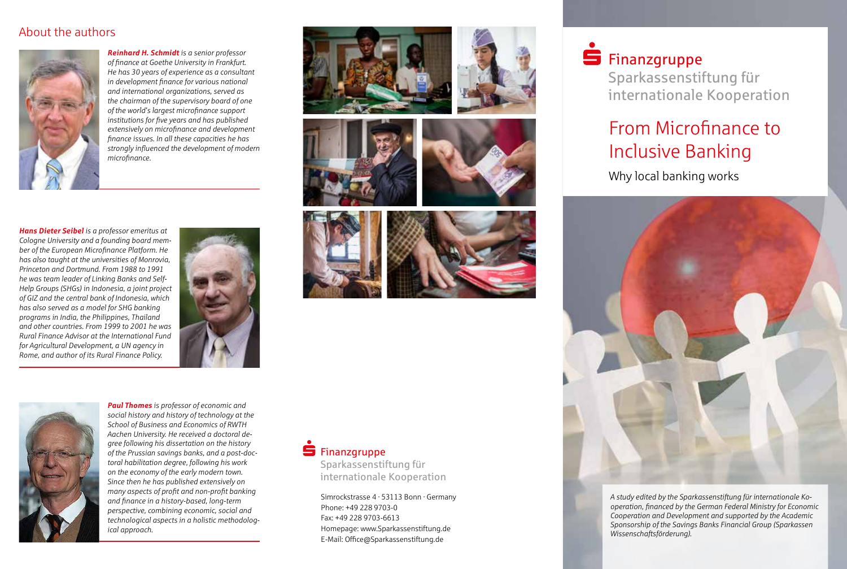#### About the authors



*Reinhard H. Schmidt is a senior professor of finance at Goethe University in Frankfurt. He has 30 years of experience as a consultant in development finance for various national and international organizations, served as the chairman of the supervisory board of one of the world's largest microfinance support institutions for five years and has published extensively on microfinance and development finance issues. In all these capacities he has strongly influenced the development of modern microfinance.*









*Hans Dieter Seibel is a professor emeritus at Cologne University and a founding board member of the European Microfinance Platform. He has also taught at the universities of Monrovia, Princeton and Dortmund. From 1988 to 1991 he was team leader of Linking Banks and Self-Help Groups (SHGs) in Indonesia, a joint project of GIZ and the central bank of Indonesia, which has also served as a model for SHG banking programs in India, the Philippines, Thailand and other countries. From 1999 to 2001 he was Rural Finance Advisor at the International Fund for Agricultural Development, a UN agency in Rome, and author of its Rural Finance Policy.*







*Paul Thomes is professor of economic and social history and history of technology at the School of Business and Economics of RWTH Aachen University. He received a doctoral degree following his dissertation on the history of the Prussian savings banks, and a post-doctoral habilitation degree, following his work on the economy of the early modern town. Since then he has published extensively on many aspects of profit and non-profit banking and finance in a history-based, long-term perspective, combining economic, social and technological aspects in a holistic methodological approach.*

### $\dot{\mathbf{S}}$  Finanzgruppe

Sparkassenstiftung für internationale Kooperation

Simrockstrasse 4 · 53113 Bonn · Germany Phone: +49 228 9703-0 Fax: +49 228 9703-6613 Homepage: www.Sparkassenstiftung.de E-Mail: Office@Sparkassenstiftung.de

## $\blacksquare$ Finanzgruppe

Sparkassenstiftung für internationale Kooperation

### From Microfinance to Inclusive Banking

Why local banking works



*A study edited by the Sparkassenstiftung für internationale Kooperation, financed by the German Federal Ministry for Economic Cooperation and Development and supported by the Academic Sponsorship of the Savings Banks Financial Group (Sparkassen Wissenschaftsförderung).*